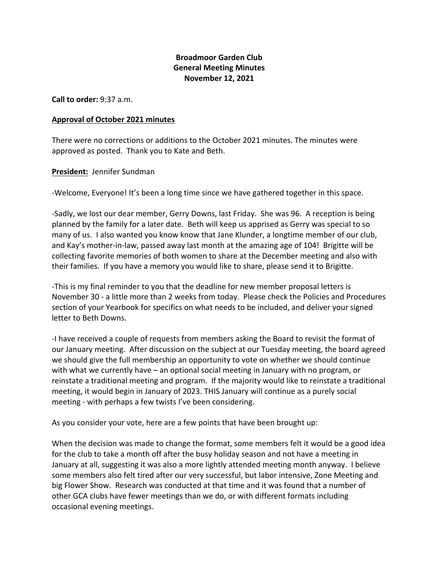# **Broadmoor Garden Club General Meeting Minutes November 12, 2021**

**Call to order:** 9:37 a.m.

#### **Approval of October 2021 minutes**

There were no corrections or additions to the October 2021 minutes. The minutes were approved as posted. Thank you to Kate and Beth.

### **President:** Jennifer Sundman

-Welcome, Everyone! It's been a long time since we have gathered together in this space.

-Sadly, we lost our dear member, Gerry Downs, last Friday. She was 96. A reception is being planned by the family for a later date. Beth will keep us apprised as Gerry was special to so many of us. I also wanted you know know that Jane Klunder, a longtime member of our club, and Kay's mother-in-law, passed away last month at the amazing age of 104! Brigitte will be collecting favorite memories of both women to share at the December meeting and also with their families. If you have a memory you would like to share, please send it to Brigitte.

-This is my final reminder to you that the deadline for new member proposal letters is November 30 - a little more than 2 weeks from today. Please check the Policies and Procedures section of your Yearbook for specifics on what needs to be included, and deliver your signed letter to Beth Downs.

-I have received a couple of requests from members asking the Board to revisit the format of our January meeting. After discussion on the subject at our Tuesday meeting, the board agreed we should give the full membership an opportunity to vote on whether we should continue with what we currently have – an optional social meeting in January with no program, or reinstate a traditional meeting and program. If the majority would like to reinstate a traditional meeting, it would begin in January of 2023. THIS January will continue as a purely social meeting - with perhaps a few twists I've been considering.

As you consider your vote, here are a few points that have been brought up:

When the decision was made to change the format, some members felt it would be a good idea for the club to take a month off after the busy holiday season and not have a meeting in January at all, suggesting it was also a more lightly attended meeting month anyway. I believe some members also felt tired after our very successful, but labor intensive, Zone Meeting and big Flower Show. Research was conducted at that time and it was found that a number of other GCA clubs have fewer meetings than we do, or with different formats including occasional evening meetings.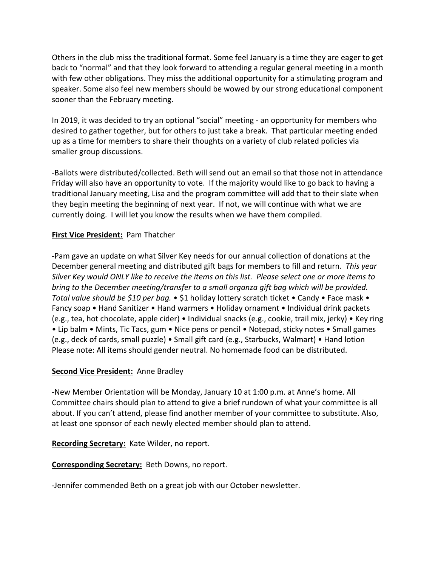Others in the club miss the traditional format. Some feel January is a time they are eager to get back to "normal" and that they look forward to attending a regular general meeting in a month with few other obligations. They miss the additional opportunity for a stimulating program and speaker. Some also feel new members should be wowed by our strong educational component sooner than the February meeting.

In 2019, it was decided to try an optional "social" meeting - an opportunity for members who desired to gather together, but for others to just take a break. That particular meeting ended up as a time for members to share their thoughts on a variety of club related policies via smaller group discussions.

-Ballots were distributed/collected. Beth will send out an email so that those not in attendance Friday will also have an opportunity to vote. If the majority would like to go back to having a traditional January meeting, Lisa and the program committee will add that to their slate when they begin meeting the beginning of next year. If not, we will continue with what we are currently doing. I will let you know the results when we have them compiled.

# **First Vice President:** Pam Thatcher

-Pam gave an update on what Silver Key needs for our annual collection of donations at the December general meeting and distributed gift bags for members to fill and return*. This year Silver Key would ONLY like to receive the items on this list. Please select one or more items to bring to the December meeting/transfer to a small organza gift bag which will be provided. Total value should be \$10 per bag.* • \$1 holiday lottery scratch ticket • Candy • Face mask • Fancy soap • Hand Sanitizer • Hand warmers • Holiday ornament • Individual drink packets (e.g., tea, hot chocolate, apple cider) • Individual snacks (e.g., cookie, trail mix, jerky) • Key ring • Lip balm • Mints, Tic Tacs, gum • Nice pens or pencil • Notepad, sticky notes • Small games (e.g., deck of cards, small puzzle) • Small gift card (e.g., Starbucks, Walmart) • Hand lotion Please note: All items should gender neutral. No homemade food can be distributed.

### **Second Vice President:** Anne Bradley

-New Member Orientation will be Monday, January 10 at 1:00 p.m. at Anne's home. All Committee chairs should plan to attend to give a brief rundown of what your committee is all about. If you can't attend, please find another member of your committee to substitute. Also, at least one sponsor of each newly elected member should plan to attend.

### **Recording Secretary:** Kate Wilder, no report.

### **Corresponding Secretary:** Beth Downs, no report.

-Jennifer commended Beth on a great job with our October newsletter.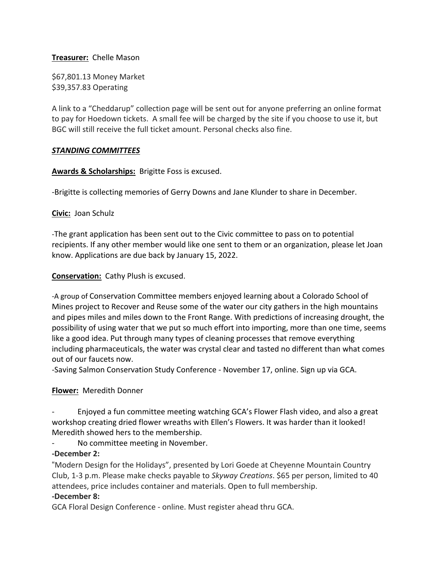## **Treasurer:** Chelle Mason

\$67,801.13 Money Market \$39,357.83 Operating

A link to a "Cheddarup" collection page will be sent out for anyone preferring an online format to pay for Hoedown tickets. A small fee will be charged by the site if you choose to use it, but BGC will still receive the full ticket amount. Personal checks also fine.

### *STANDING COMMITTEES*

**Awards & Scholarships:** Brigitte Foss is excused.

-Brigitte is collecting memories of Gerry Downs and Jane Klunder to share in December.

## **Civic:** Joan Schulz

-The grant application has been sent out to the Civic committee to pass on to potential recipients. If any other member would like one sent to them or an organization, please let Joan know. Applications are due back by January 15, 2022.

## **Conservation:** Cathy Plush is excused.

-A group of Conservation Committee members enjoyed learning about a Colorado School of Mines project to Recover and Reuse some of the water our city gathers in the high mountains and pipes miles and miles down to the Front Range. With predictions of increasing drought, the possibility of using water that we put so much effort into importing, more than one time, seems like a good idea. Put through many types of cleaning processes that remove everything including pharmaceuticals, the water was crystal clear and tasted no different than what comes out of our faucets now.

-Saving Salmon Conservation Study Conference - November 17, online. Sign up via GCA.

# **Flower:** Meredith Donner

- Enjoyed a fun committee meeting watching GCA's Flower Flash video, and also a great workshop creating dried flower wreaths with Ellen's Flowers. It was harder than it looked! Meredith showed hers to the membership.

No committee meeting in November.

### **-December 2:**

"Modern Design for the Holidays", presented by Lori Goede at Cheyenne Mountain Country Club, 1-3 p.m. Please make checks payable to *Skyway Creations*. \$65 per person, limited to 40 attendees, price includes container and materials. Open to full membership.

### **-December 8:**

GCA Floral Design Conference - online. Must register ahead thru GCA.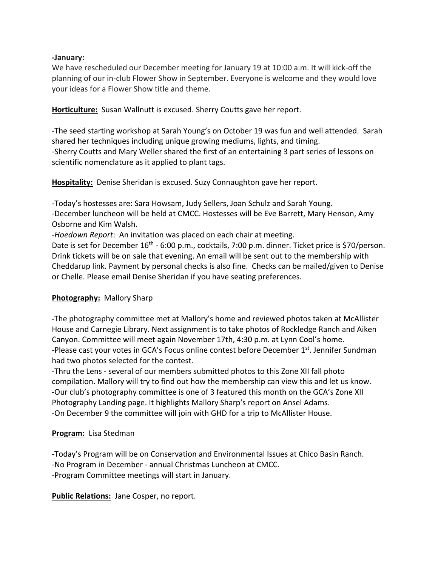## **-January:**

We have rescheduled our December meeting for January 19 at 10:00 a.m. It will kick-off the planning of our in-club Flower Show in September. Everyone is welcome and they would love your ideas for a Flower Show title and theme.

**Horticulture:** Susan Wallnutt is excused. Sherry Coutts gave her report.

-The seed starting workshop at Sarah Young's on October 19 was fun and well attended. Sarah shared her techniques including unique growing mediums, lights, and timing. -Sherry Coutts and Mary Weller shared the first of an entertaining 3 part series of lessons on scientific nomenclature as it applied to plant tags.

**Hospitality:** Denise Sheridan is excused. Suzy Connaughton gave her report.

-Today's hostesses are: Sara Howsam, Judy Sellers, Joan Schulz and Sarah Young. -December luncheon will be held at CMCC. Hostesses will be Eve Barrett, Mary Henson, Amy Osborne and Kim Walsh.

-*Hoedown Report*: An invitation was placed on each chair at meeting.

Date is set for December 16<sup>th</sup> - 6:00 p.m., cocktails, 7:00 p.m. dinner. Ticket price is \$70/person. Drink tickets will be on sale that evening. An email will be sent out to the membership with Cheddarup link. Payment by personal checks is also fine. Checks can be mailed/given to Denise or Chelle. Please email Denise Sheridan if you have seating preferences.

# **Photography:** Mallory Sharp

-The photography committee met at Mallory's home and reviewed photos taken at McAllister House and Carnegie Library. Next assignment is to take photos of Rockledge Ranch and Aiken Canyon. Committee will meet again November 17th, 4:30 p.m. at Lynn Cool's home. -Please cast your votes in GCA's Focus online contest before December 1<sup>st</sup>. Jennifer Sundman had two photos selected for the contest.

-Thru the Lens - several of our members submitted photos to this Zone XII fall photo compilation. Mallory will try to find out how the membership can view this and let us know. -Our club's photography committee is one of 3 featured this month on the GCA's Zone XII Photography Landing page. It highlights Mallory Sharp's report on Ansel Adams. -On December 9 the committee will join with GHD for a trip to McAllister House.

### **Program:** Lisa Stedman

-Today's Program will be on Conservation and Environmental Issues at Chico Basin Ranch. -No Program in December - annual Christmas Luncheon at CMCC. -Program Committee meetings will start in January.

**Public Relations:** Jane Cosper, no report.